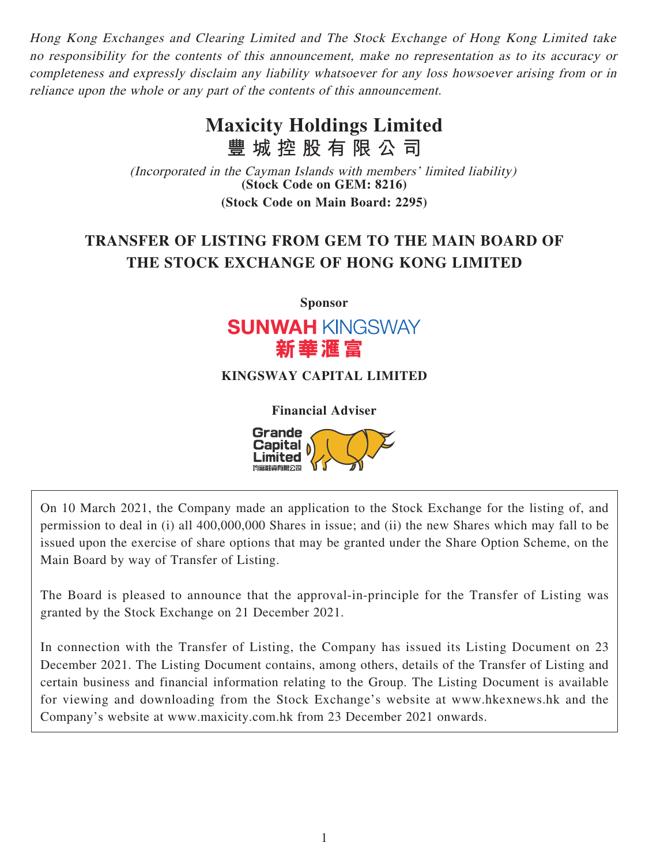Hong Kong Exchanges and Clearing Limited and The Stock Exchange of Hong Kong Limited take no responsibility for the contents of this announcement, make no representation as to its accuracy or completeness and expressly disclaim any liability whatsoever for any loss howsoever arising from or in reliance upon the whole or any part of the contents of this announcement.

# **Maxicity Holdings Limited 豐城控股有限公司**

(Incorporated in the Cayman Islands with members' limited liability) **(Stock Code on GEM: 8216) (Stock Code on Main Board: 2295)**

# **TRANSFER OF LISTING FROM GEM TO THE MAIN BOARD OF THE STOCK EXCHANGE OF HONG KONG LIMITED**

**Sponsor**



## **KINGSWAY CAPITAL LIMITED**

**Financial Adviser**

**Grande** Capital .imited

On 10 March 2021, the Company made an application to the Stock Exchange for the listing of, and permission to deal in (i) all 400,000,000 Shares in issue; and (ii) the new Shares which may fall to be issued upon the exercise of share options that may be granted under the Share Option Scheme, on the Main Board by way of Transfer of Listing.

The Board is pleased to announce that the approval-in-principle for the Transfer of Listing was granted by the Stock Exchange on 21 December 2021.

In connection with the Transfer of Listing, the Company has issued its Listing Document on 23 December 2021. The Listing Document contains, among others, details of the Transfer of Listing and certain business and financial information relating to the Group. The Listing Document is available for viewing and downloading from the Stock Exchange's website at www.hkexnews.hk and the Company's website at www.maxicity.com.hk from 23 December 2021 onwards.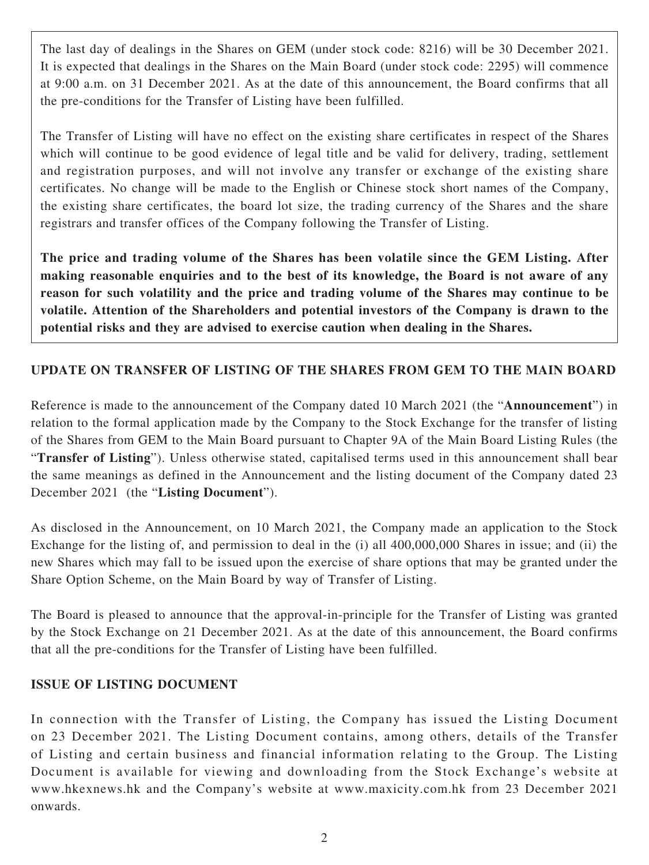The last day of dealings in the Shares on GEM (under stock code: 8216) will be 30 December 2021. It is expected that dealings in the Shares on the Main Board (under stock code: 2295) will commence at 9:00 a.m. on 31 December 2021. As at the date of this announcement, the Board confirms that all the pre-conditions for the Transfer of Listing have been fulfilled.

The Transfer of Listing will have no effect on the existing share certificates in respect of the Shares which will continue to be good evidence of legal title and be valid for delivery, trading, settlement and registration purposes, and will not involve any transfer or exchange of the existing share certificates. No change will be made to the English or Chinese stock short names of the Company, the existing share certificates, the board lot size, the trading currency of the Shares and the share registrars and transfer offices of the Company following the Transfer of Listing.

**The price and trading volume of the Shares has been volatile since the GEM Listing. After making reasonable enquiries and to the best of its knowledge, the Board is not aware of any reason for such volatility and the price and trading volume of the Shares may continue to be volatile. Attention of the Shareholders and potential investors of the Company is drawn to the potential risks and they are advised to exercise caution when dealing in the Shares.**

## **UPDATE ON TRANSFER OF LISTING OF THE SHARES FROM GEM TO THE MAIN BOARD**

Reference is made to the announcement of the Company dated 10 March 2021 (the "**Announcement**") in relation to the formal application made by the Company to the Stock Exchange for the transfer of listing of the Shares from GEM to the Main Board pursuant to Chapter 9A of the Main Board Listing Rules (the "**Transfer of Listing**"). Unless otherwise stated, capitalised terms used in this announcement shall bear the same meanings as defined in the Announcement and the listing document of the Company dated 23 December 2021 (the "**Listing Document**").

As disclosed in the Announcement, on 10 March 2021, the Company made an application to the Stock Exchange for the listing of, and permission to deal in the (i) all 400,000,000 Shares in issue; and (ii) the new Shares which may fall to be issued upon the exercise of share options that may be granted under the Share Option Scheme, on the Main Board by way of Transfer of Listing.

The Board is pleased to announce that the approval-in-principle for the Transfer of Listing was granted by the Stock Exchange on 21 December 2021. As at the date of this announcement, the Board confirms that all the pre-conditions for the Transfer of Listing have been fulfilled.

#### **ISSUE OF LISTING DOCUMENT**

In connection with the Transfer of Listing, the Company has issued the Listing Document on 23 December 2021. The Listing Document contains, among others, details of the Transfer of Listing and certain business and financial information relating to the Group. The Listing Document is available for viewing and downloading from the Stock Exchange's website at www.hkexnews.hk and the Company's website at www.maxicity.com.hk from 23 December 2021 onwards.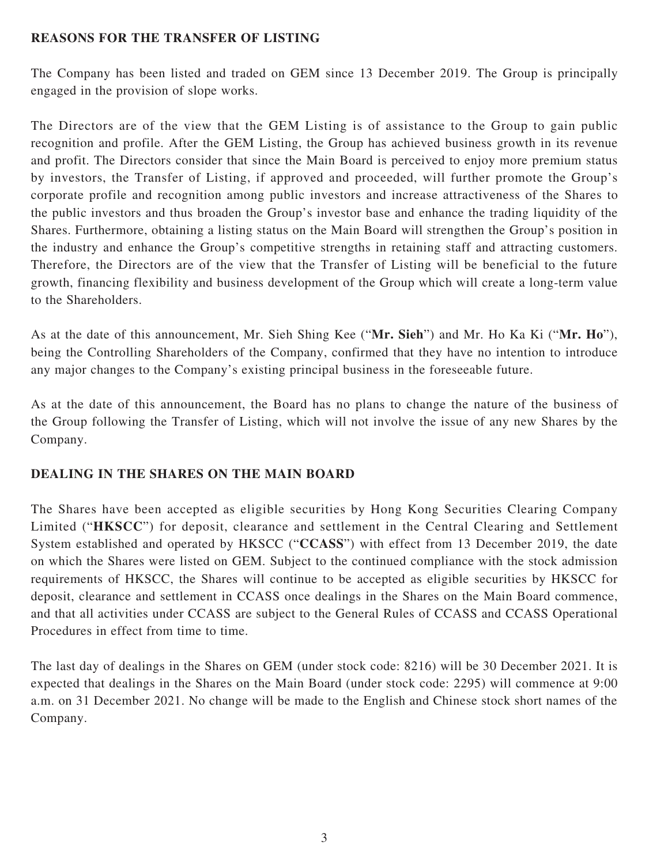#### **REASONS FOR THE TRANSFER OF LISTING**

The Company has been listed and traded on GEM since 13 December 2019. The Group is principally engaged in the provision of slope works.

The Directors are of the view that the GEM Listing is of assistance to the Group to gain public recognition and profile. After the GEM Listing, the Group has achieved business growth in its revenue and profit. The Directors consider that since the Main Board is perceived to enjoy more premium status by investors, the Transfer of Listing, if approved and proceeded, will further promote the Group's corporate profile and recognition among public investors and increase attractiveness of the Shares to the public investors and thus broaden the Group's investor base and enhance the trading liquidity of the Shares. Furthermore, obtaining a listing status on the Main Board will strengthen the Group's position in the industry and enhance the Group's competitive strengths in retaining staff and attracting customers. Therefore, the Directors are of the view that the Transfer of Listing will be beneficial to the future growth, financing flexibility and business development of the Group which will create a long-term value to the Shareholders.

As at the date of this announcement, Mr. Sieh Shing Kee ("**Mr. Sieh**") and Mr. Ho Ka Ki ("**Mr. Ho**"), being the Controlling Shareholders of the Company, confirmed that they have no intention to introduce any major changes to the Company's existing principal business in the foreseeable future.

As at the date of this announcement, the Board has no plans to change the nature of the business of the Group following the Transfer of Listing, which will not involve the issue of any new Shares by the Company.

## **DEALING IN THE SHARES ON THE MAIN BOARD**

The Shares have been accepted as eligible securities by Hong Kong Securities Clearing Company Limited ("**HKSCC**") for deposit, clearance and settlement in the Central Clearing and Settlement System established and operated by HKSCC ("**CCASS**") with effect from 13 December 2019, the date on which the Shares were listed on GEM. Subject to the continued compliance with the stock admission requirements of HKSCC, the Shares will continue to be accepted as eligible securities by HKSCC for deposit, clearance and settlement in CCASS once dealings in the Shares on the Main Board commence, and that all activities under CCASS are subject to the General Rules of CCASS and CCASS Operational Procedures in effect from time to time.

The last day of dealings in the Shares on GEM (under stock code: 8216) will be 30 December 2021. It is expected that dealings in the Shares on the Main Board (under stock code: 2295) will commence at 9:00 a.m. on 31 December 2021. No change will be made to the English and Chinese stock short names of the Company.